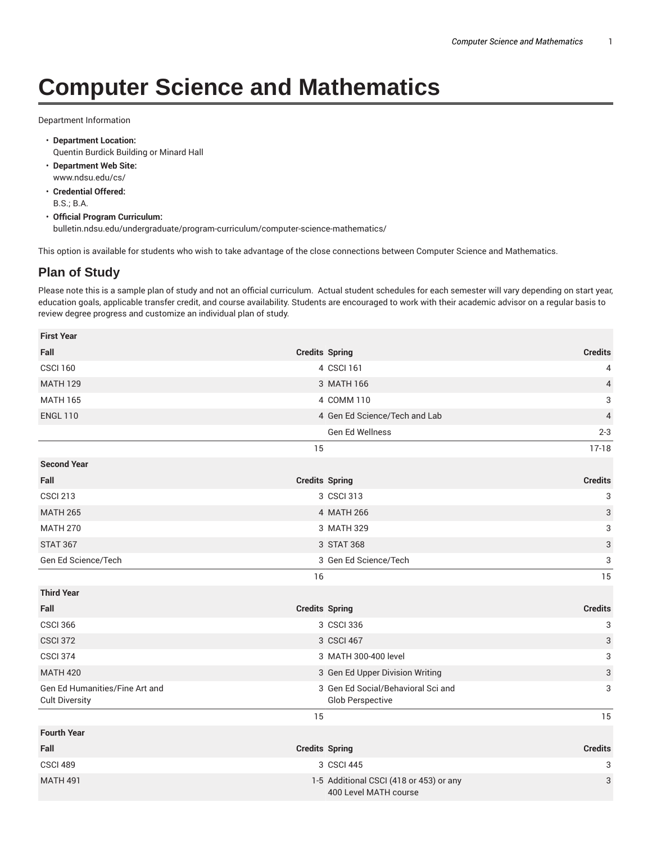## **Computer Science and Mathematics**

Department Information

- **Department Location:** Quentin Burdick Building or Minard Hall
- **Department Web Site:** www.ndsu.edu/cs/
- **Credential Offered:** B.S.; B.A.
- **Official Program Curriculum:** bulletin.ndsu.edu/undergraduate/program-curriculum/computer-science-mathematics/

This option is available for students who wish to take advantage of the close connections between Computer Science and Mathematics.

## **Plan of Study**

Please note this is a sample plan of study and not an official curriculum. Actual student schedules for each semester will vary depending on start year, education goals, applicable transfer credit, and course availability. Students are encouraged to work with their academic advisor on a regular basis to review degree progress and customize an individual plan of study.

| <b>First Year</b>                                       |                       |                                                                  |                           |
|---------------------------------------------------------|-----------------------|------------------------------------------------------------------|---------------------------|
| Fall                                                    | <b>Credits Spring</b> |                                                                  | <b>Credits</b>            |
| <b>CSCI 160</b>                                         |                       | 4 CSCI 161                                                       | 4                         |
| <b>MATH 129</b>                                         |                       | 3 MATH 166                                                       | $\overline{4}$            |
| <b>MATH 165</b>                                         |                       | 4 COMM 110                                                       | 3                         |
| <b>ENGL 110</b>                                         |                       | 4 Gen Ed Science/Tech and Lab                                    | $\overline{4}$            |
|                                                         |                       | Gen Ed Wellness                                                  | $2 - 3$                   |
|                                                         | 15                    |                                                                  | $17-18$                   |
| <b>Second Year</b>                                      |                       |                                                                  |                           |
| Fall                                                    | <b>Credits Spring</b> |                                                                  | <b>Credits</b>            |
| <b>CSCI 213</b>                                         |                       | 3 CSCI 313                                                       | 3                         |
| <b>MATH 265</b>                                         |                       | 4 MATH 266                                                       | $\ensuremath{\mathsf{3}}$ |
| <b>MATH 270</b>                                         |                       | 3 MATH 329                                                       | 3                         |
| <b>STAT 367</b>                                         |                       | 3 STAT 368                                                       | $\ensuremath{\mathsf{3}}$ |
| Gen Ed Science/Tech                                     |                       | 3 Gen Ed Science/Tech                                            | 3                         |
|                                                         | 16                    |                                                                  | 15                        |
| <b>Third Year</b>                                       |                       |                                                                  |                           |
| Fall                                                    | <b>Credits Spring</b> |                                                                  | <b>Credits</b>            |
| <b>CSCI 366</b>                                         |                       | 3 CSCI 336                                                       | 3                         |
| <b>CSCI 372</b>                                         |                       | 3 CSCI 467                                                       | $\ensuremath{\mathsf{3}}$ |
| <b>CSCI 374</b>                                         |                       | 3 MATH 300-400 level                                             | 3                         |
| <b>MATH 420</b>                                         |                       | 3 Gen Ed Upper Division Writing                                  | $\ensuremath{\mathsf{3}}$ |
| Gen Ed Humanities/Fine Art and<br><b>Cult Diversity</b> |                       | 3 Gen Ed Social/Behavioral Sci and<br>Glob Perspective           | 3                         |
|                                                         | 15                    |                                                                  | 15                        |
| <b>Fourth Year</b>                                      |                       |                                                                  |                           |
| Fall                                                    | <b>Credits Spring</b> |                                                                  | <b>Credits</b>            |
| <b>CSCI 489</b>                                         |                       | 3 CSCI 445                                                       | 3                         |
| <b>MATH 491</b>                                         |                       | 1-5 Additional CSCI (418 or 453) or any<br>400 Level MATH course | 3                         |